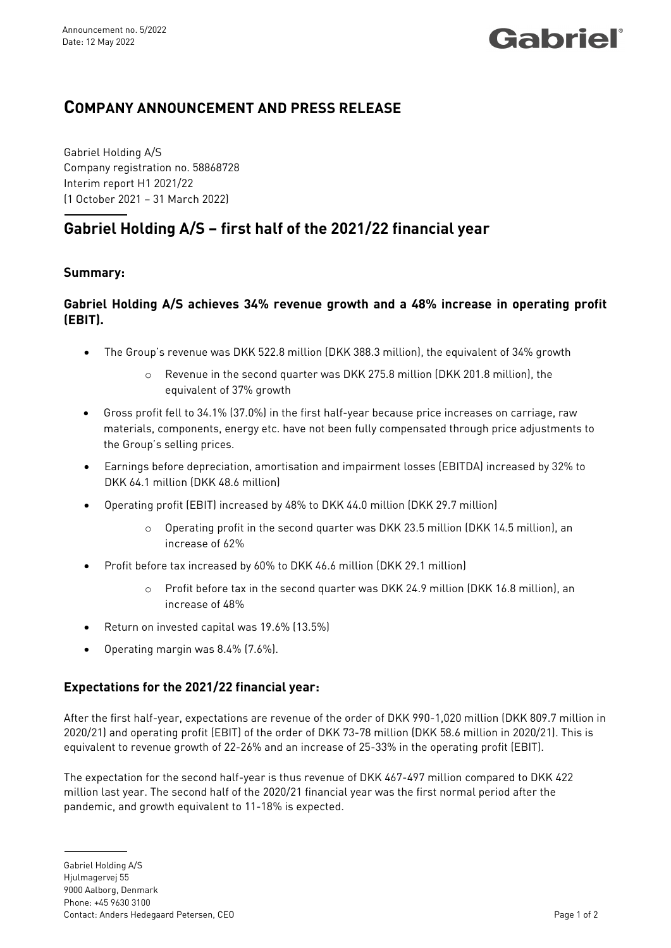## Gabriel®

### **COMPANY ANNOUNCEMENT AND PRESS RELEASE**

Gabriel Holding A/S Company registration no. 58868728 Interim report H1 2021/22 (1 October 2021 – 31 March 2022)

## **Gabriel Holding A/S – first half of the 2021/22 financial year**

#### **Summary:**

#### **Gabriel Holding A/S achieves 34% revenue growth and a 48% increase in operating profit (EBIT).**

- The Group's revenue was DKK 522.8 million (DKK 388.3 million), the equivalent of 34% growth
	- o Revenue in the second quarter was DKK 275.8 million (DKK 201.8 million), the equivalent of 37% growth
- Gross profit fell to 34.1% (37.0%) in the first half-year because price increases on carriage, raw materials, components, energy etc. have not been fully compensated through price adjustments to the Group's selling prices.
- Earnings before depreciation, amortisation and impairment losses (EBITDA) increased by 32% to DKK 64.1 million (DKK 48.6 million)
- Operating profit (EBIT) increased by 48% to DKK 44.0 million (DKK 29.7 million)
	- o Operating profit in the second quarter was DKK 23.5 million (DKK 14.5 million), an increase of 62%
- Profit before tax increased by 60% to DKK 46.6 million (DKK 29.1 million)
	- o Profit before tax in the second quarter was DKK 24.9 million (DKK 16.8 million), an increase of 48%
- Return on invested capital was 19.6% (13.5%)
- Operating margin was 8.4% (7.6%).

### **Expectations for the 2021/22 financial year:**

After the first half-year, expectations are revenue of the order of DKK 990-1,020 million (DKK 809.7 million in 2020/21) and operating profit (EBIT) of the order of DKK 73-78 million (DKK 58.6 million in 2020/21). This is equivalent to revenue growth of 22-26% and an increase of 25-33% in the operating profit (EBIT).

The expectation for the second half-year is thus revenue of DKK 467-497 million compared to DKK 422 million last year. The second half of the 2020/21 financial year was the first normal period after the pandemic, and growth equivalent to 11-18% is expected.